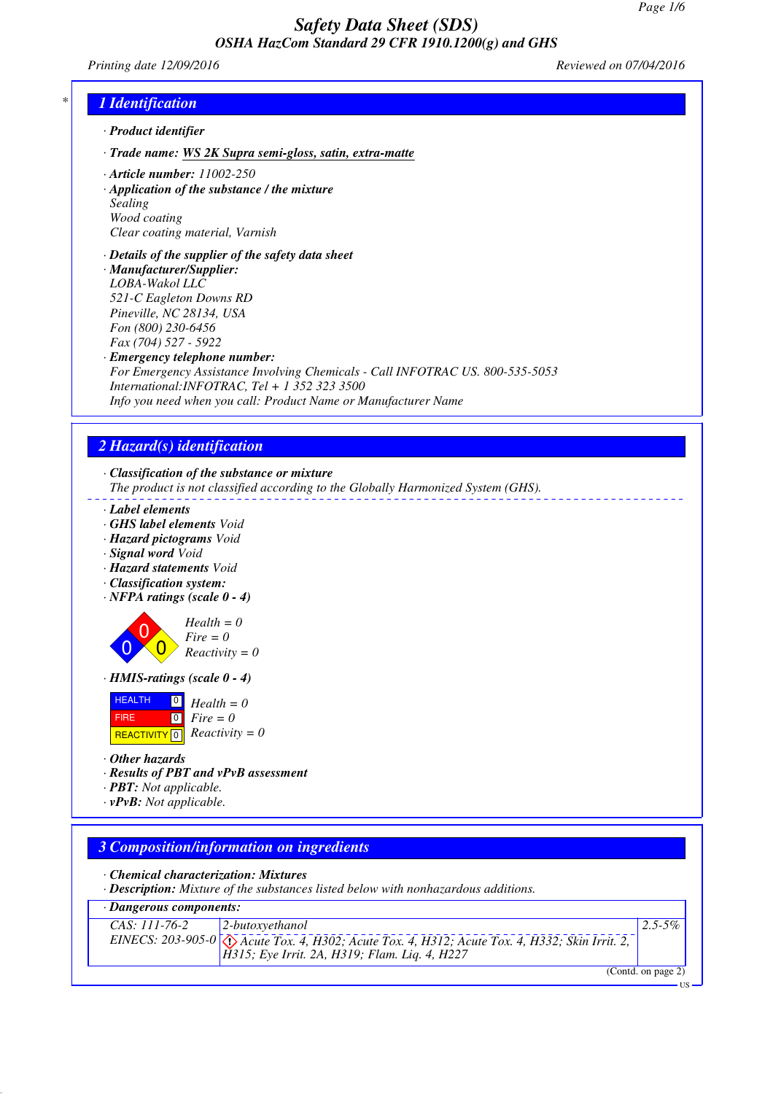*Printing date 12/09/2016 Reviewed on 07/04/2016*

# *\* 1 Identification*

- *· Product identifier*
- *· Trade name: WS 2K Supra semi-gloss, satin, extra-matte*
- *· Article number: 11002-250*
- *· Application of the substance / the mixture Sealing Wood coating Clear coating material, Varnish*
- *· Details of the supplier of the safety data sheet · Manufacturer/Supplier: LOBA-Wakol LLC 521-C Eagleton Downs RD Pineville, NC 28134, USA Fon (800) 230-6456 Fax (704) 527 - 5922*
- *· Emergency telephone number:*
- *For Emergency Assistance Involving Chemicals Call INFOTRAC US. 800-535-5053 International:INFOTRAC, Tel + 1 352 323 3500 Info you need when you call: Product Name or Manufacturer Name*

# *2 Hazard(s) identification*

*· Classification of the substance or mixture*

*The product is not classified according to the Globally Harmonized System (GHS).*

- *· Label elements*
- *· GHS label elements Void*
- *· Hazard pictograms Void*
- *· Signal word Void*
- *· Hazard statements Void*
- *· Classification system:*
- *· NFPA ratings (scale 0 4)*

 $\overline{0}$  $\overline{0}$  $\overline{0}$ *Health = 0 Fire = 0 Reactivity = 0*

*· HMIS-ratings (scale 0 - 4)*

| <b>HEALTH</b> | $\Box$ Health = 0             |
|---------------|-------------------------------|
| <b>FIRE</b>   | $\lceil 0 \rceil$ Fire $= 0$  |
|               | REACTIVITY 0 $Reactivity = 0$ |

*· Other hazards*

*· Results of PBT and vPvB assessment*

*· PBT: Not applicable.*

*· vPvB: Not applicable.*

## *3 Composition/information on ingredients*

*· Chemical characterization: Mixtures*

*· Description: Mixture of the substances listed below with nonhazardous additions.*

#### *· Dangerous components:*

| $2$ -butoxyethanol<br>CAS: 111-76-2                                                                          | $2.5 - 5\%$ |
|--------------------------------------------------------------------------------------------------------------|-------------|
| EINECS: 203-905-0 $\sqrt{\Delta}$ Acute Tox. 4, H302; Acute Tox. 4, H312; Acute Tox. 4, H332; Skin Irrit. 2, |             |
| $H315$ ; Eye Irrit. 2A, H319; Flam. Liq. 4, H227                                                             |             |
|                                                                                                              | (0, 1, 0)   |

(Contd. on page 2)

US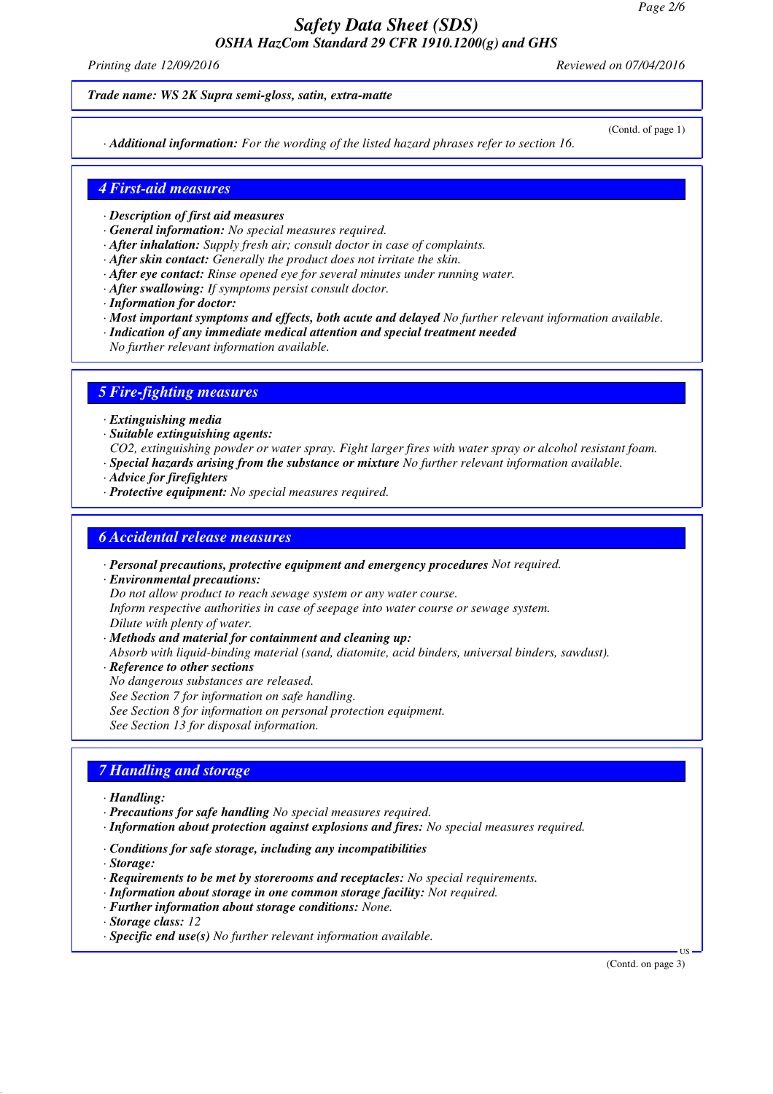*Printing date 12/09/2016 Reviewed on 07/04/2016*

#### *Trade name: WS 2K Supra semi-gloss, satin, extra-matte*

*· Additional information: For the wording of the listed hazard phrases refer to section 16.*

(Contd. of page 1)

#### *4 First-aid measures*

*· Description of first aid measures*

*· General information: No special measures required.*

- *· After inhalation: Supply fresh air; consult doctor in case of complaints.*
- *· After skin contact: Generally the product does not irritate the skin.*
- *· After eye contact: Rinse opened eye for several minutes under running water.*
- *· After swallowing: If symptoms persist consult doctor.*
- *· Information for doctor:*
- *· Most important symptoms and effects, both acute and delayed No further relevant information available.*
- *· Indication of any immediate medical attention and special treatment needed*
- *No further relevant information available.*

#### *5 Fire-fighting measures*

- *· Extinguishing media*
- *· Suitable extinguishing agents:*
- *CO2, extinguishing powder or water spray. Fight larger fires with water spray or alcohol resistant foam.*
- *· Special hazards arising from the substance or mixture No further relevant information available.*
- *· Advice for firefighters*
- *· Protective equipment: No special measures required.*

#### *6 Accidental release measures*

*· Personal precautions, protective equipment and emergency procedures Not required.*

*· Environmental precautions:*

*Do not allow product to reach sewage system or any water course.*

*Inform respective authorities in case of seepage into water course or sewage system.*

*Dilute with plenty of water.*

*· Methods and material for containment and cleaning up:*

*Absorb with liquid-binding material (sand, diatomite, acid binders, universal binders, sawdust).*

*· Reference to other sections*

*No dangerous substances are released.*

*See Section 7 for information on safe handling.*

*See Section 8 for information on personal protection equipment.*

*See Section 13 for disposal information.*

## *7 Handling and storage*

*· Handling:*

- *· Precautions for safe handling No special measures required.*
- *· Information about protection against explosions and fires: No special measures required.*
- *· Conditions for safe storage, including any incompatibilities*

*· Storage:*

- *· Requirements to be met by storerooms and receptacles: No special requirements.*
- *· Information about storage in one common storage facility: Not required.*
- *· Further information about storage conditions: None.*
- *· Storage class: 12*
- *· Specific end use(s) No further relevant information available.*

(Contd. on page 3)

US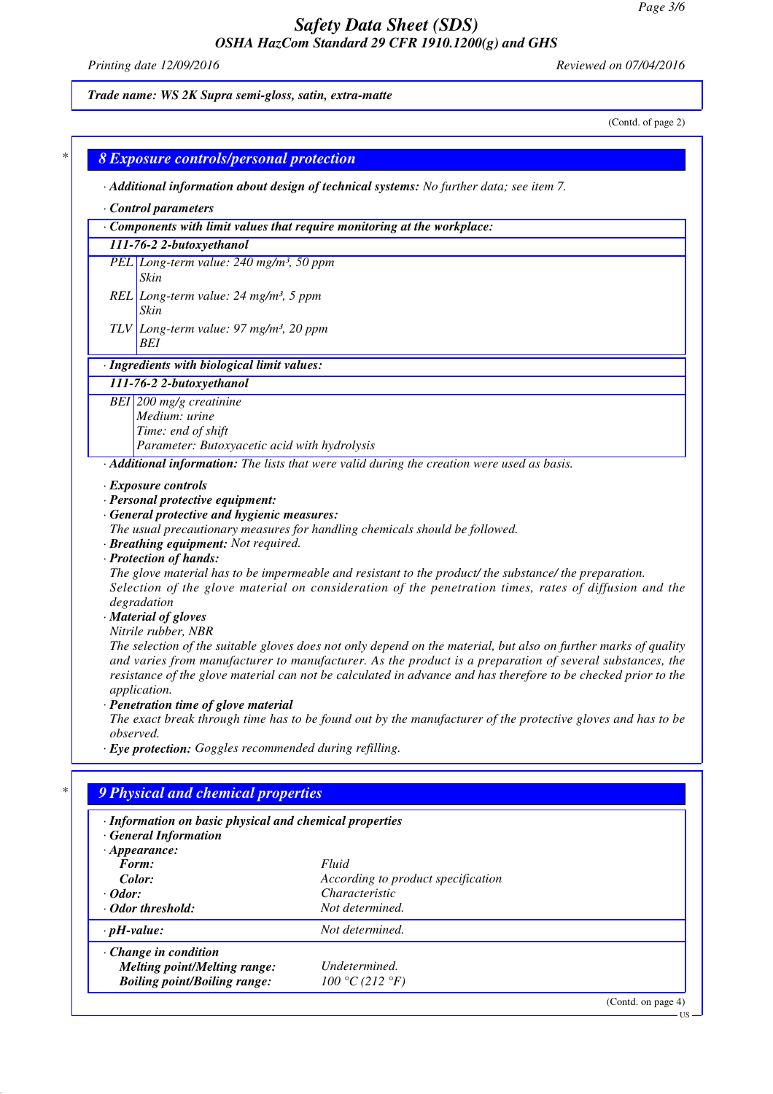*Printing date 12/09/2016 Reviewed on 07/04/2016*

# *Trade name: WS 2K Supra semi-gloss, satin, extra-matte*

(Contd. of page 2)

|                                                                                         |                                                                                                 | Additional information about design of technical systems: No further data; see item 7.                                                                                                                                                                                                                                                                                                                                                                                                                                                                                                                    |  |  |
|-----------------------------------------------------------------------------------------|-------------------------------------------------------------------------------------------------|-----------------------------------------------------------------------------------------------------------------------------------------------------------------------------------------------------------------------------------------------------------------------------------------------------------------------------------------------------------------------------------------------------------------------------------------------------------------------------------------------------------------------------------------------------------------------------------------------------------|--|--|
| Control parameters                                                                      |                                                                                                 |                                                                                                                                                                                                                                                                                                                                                                                                                                                                                                                                                                                                           |  |  |
|                                                                                         |                                                                                                 | $\cdot$ Components with limit values that require monitoring at the workplace:                                                                                                                                                                                                                                                                                                                                                                                                                                                                                                                            |  |  |
|                                                                                         | 111-76-2 2-butoxyethanol                                                                        |                                                                                                                                                                                                                                                                                                                                                                                                                                                                                                                                                                                                           |  |  |
|                                                                                         | PEL Long-term value: 240 mg/m <sup>3</sup> , 50 ppm                                             |                                                                                                                                                                                                                                                                                                                                                                                                                                                                                                                                                                                                           |  |  |
|                                                                                         | Skin                                                                                            |                                                                                                                                                                                                                                                                                                                                                                                                                                                                                                                                                                                                           |  |  |
|                                                                                         | REL Long-term value: $24$ mg/m <sup>3</sup> , 5 ppm                                             |                                                                                                                                                                                                                                                                                                                                                                                                                                                                                                                                                                                                           |  |  |
|                                                                                         | Skin<br>$TLV$ Long-term value: 97 mg/m <sup>3</sup> , 20 ppm                                    |                                                                                                                                                                                                                                                                                                                                                                                                                                                                                                                                                                                                           |  |  |
| BEI                                                                                     |                                                                                                 |                                                                                                                                                                                                                                                                                                                                                                                                                                                                                                                                                                                                           |  |  |
|                                                                                         | · Ingredients with biological limit values:                                                     |                                                                                                                                                                                                                                                                                                                                                                                                                                                                                                                                                                                                           |  |  |
|                                                                                         | 111-76-2 2-butoxyethanol                                                                        |                                                                                                                                                                                                                                                                                                                                                                                                                                                                                                                                                                                                           |  |  |
|                                                                                         | BEI 200 mg/g creatinine                                                                         |                                                                                                                                                                                                                                                                                                                                                                                                                                                                                                                                                                                                           |  |  |
|                                                                                         | Medium: urine                                                                                   |                                                                                                                                                                                                                                                                                                                                                                                                                                                                                                                                                                                                           |  |  |
|                                                                                         | Time: end of shift                                                                              |                                                                                                                                                                                                                                                                                                                                                                                                                                                                                                                                                                                                           |  |  |
|                                                                                         | Parameter: Butoxyacetic acid with hydrolysis                                                    |                                                                                                                                                                                                                                                                                                                                                                                                                                                                                                                                                                                                           |  |  |
|                                                                                         |                                                                                                 | · Additional information: The lists that were valid during the creation were used as basis.                                                                                                                                                                                                                                                                                                                                                                                                                                                                                                               |  |  |
| · Protection of hands:                                                                  | · Breathing equipment: Not required.                                                            | The glove material has to be impermeable and resistant to the product/ the substance/ the preparation.                                                                                                                                                                                                                                                                                                                                                                                                                                                                                                    |  |  |
| degradation<br>· Material of gloves<br>Nitrile rubber, NBR<br>application.<br>observed. | · Penetration time of glove material<br>· Eye protection: Goggles recommended during refilling. |                                                                                                                                                                                                                                                                                                                                                                                                                                                                                                                                                                                                           |  |  |
| <b>General Information</b>                                                              | 9 Physical and chemical properties<br>· Information on basic physical and chemical properties   |                                                                                                                                                                                                                                                                                                                                                                                                                                                                                                                                                                                                           |  |  |
| $\cdot$ Appearance:                                                                     |                                                                                                 |                                                                                                                                                                                                                                                                                                                                                                                                                                                                                                                                                                                                           |  |  |
| Form:                                                                                   |                                                                                                 | Fluid                                                                                                                                                                                                                                                                                                                                                                                                                                                                                                                                                                                                     |  |  |
| Color:                                                                                  |                                                                                                 | According to product specification                                                                                                                                                                                                                                                                                                                                                                                                                                                                                                                                                                        |  |  |
| · Odor:                                                                                 |                                                                                                 | Characteristic                                                                                                                                                                                                                                                                                                                                                                                                                                                                                                                                                                                            |  |  |
| $\cdot$ Odor threshold:                                                                 |                                                                                                 | Not determined.                                                                                                                                                                                                                                                                                                                                                                                                                                                                                                                                                                                           |  |  |
| $\cdot$ pH-value:                                                                       |                                                                                                 | Not determined.                                                                                                                                                                                                                                                                                                                                                                                                                                                                                                                                                                                           |  |  |
| Change in condition                                                                     |                                                                                                 |                                                                                                                                                                                                                                                                                                                                                                                                                                                                                                                                                                                                           |  |  |
|                                                                                         | <b>Melting point/Melting range:</b><br><b>Boiling point/Boiling range:</b>                      | Selection of the glove material on consideration of the penetration times, rates of diffusion and the<br>The selection of the suitable gloves does not only depend on the material, but also on further marks of quality<br>and varies from manufacturer to manufacturer. As the product is a preparation of several substances, the<br>resistance of the glove material can not be calculated in advance and has therefore to be checked prior to the<br>The exact break through time has to be found out by the manufacturer of the protective gloves and has to be<br>Undetermined.<br>100 °C (212 °F) |  |  |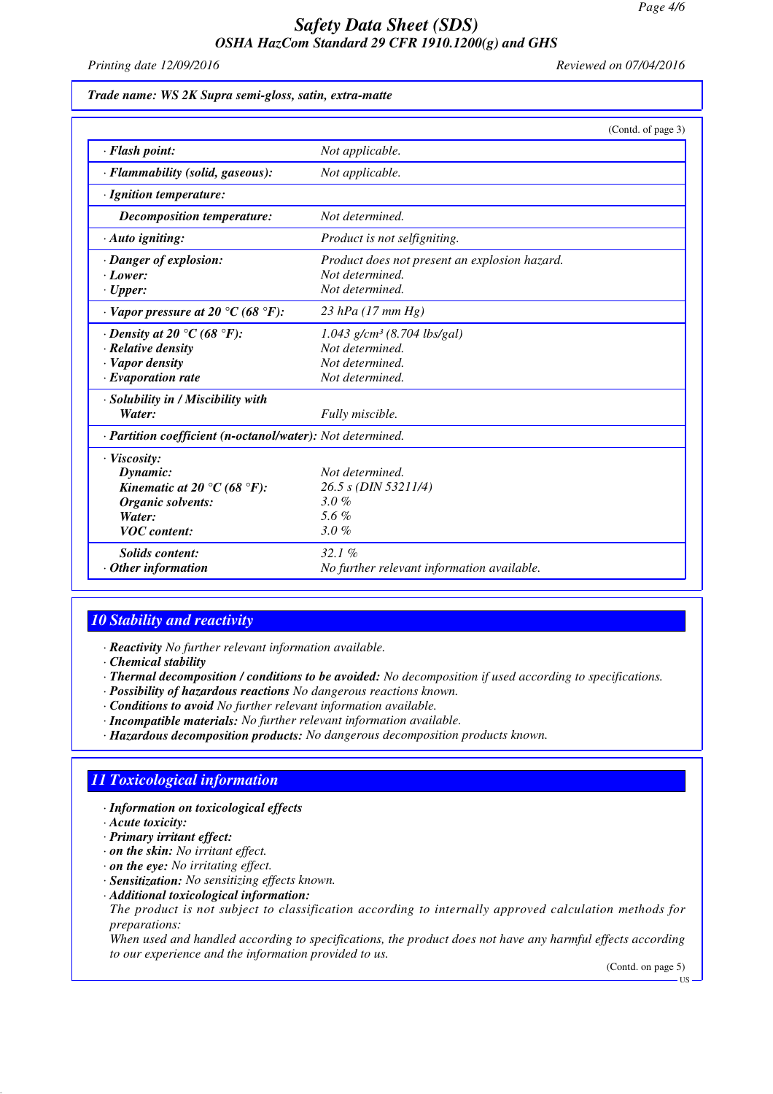*Printing date 12/09/2016 Reviewed on 07/04/2016*

| Trade name: WS 2K Supra semi-gloss, satin, extra-matte |  |  |  |  |  |
|--------------------------------------------------------|--|--|--|--|--|
|--------------------------------------------------------|--|--|--|--|--|

|                                                            | (Contd. of page 3)                            |
|------------------------------------------------------------|-----------------------------------------------|
| $\cdot$ Flash point:                                       | Not applicable.                               |
| · Flammability (solid, gaseous):                           | Not applicable.                               |
| · Ignition temperature:                                    |                                               |
| Decomposition temperature:                                 | Not determined.                               |
| $\cdot$ Auto igniting:                                     | Product is not selfigniting.                  |
| · Danger of explosion:                                     | Product does not present an explosion hazard. |
| $\cdot$ Lower:                                             | Not determined.                               |
| $\cdot$ Upper:                                             | Not determined.                               |
| $\cdot$ Vapor pressure at 20 °C (68 °F):                   | 23 hPa $(17 \, \text{mm Hg})$                 |
| $\cdot$ Density at 20 °C (68 °F):                          | $1.043$ g/cm <sup>3</sup> (8.704 lbs/gal)     |
| · Relative density                                         | Not determined.                               |
| · Vapor density                                            | Not determined.                               |
| $\cdot$ Evaporation rate                                   | Not determined.                               |
| · Solubility in / Miscibility with                         |                                               |
| Water:                                                     | Fully miscible.                               |
| · Partition coefficient (n-octanol/water): Not determined. |                                               |
| · Viscosity:                                               |                                               |
| Dynamic:                                                   | Not determined.                               |
| Kinematic at 20 °C (68 °F):                                | 26.5 s (DIN 53211/4)                          |
| Organic solvents:                                          | 3.0%                                          |
| Water:                                                     | 5.6 $%$                                       |
| <b>VOC</b> content:                                        | 3.0%                                          |
| <b>Solids content:</b>                                     | 32.1%                                         |
| $\cdot$ Other information                                  | No further relevant information available.    |

# *10 Stability and reactivity*

*· Reactivity No further relevant information available.*

- *· Chemical stability*
- *· Thermal decomposition / conditions to be avoided: No decomposition if used according to specifications.*
- *· Possibility of hazardous reactions No dangerous reactions known.*
- *· Conditions to avoid No further relevant information available.*
- *· Incompatible materials: No further relevant information available.*
- *· Hazardous decomposition products: No dangerous decomposition products known.*

## *11 Toxicological information*

- *· Information on toxicological effects*
- *· Acute toxicity:*
- *· Primary irritant effect:*
- *· on the skin: No irritant effect.*
- *· on the eye: No irritating effect.*
- *· Sensitization: No sensitizing effects known.*
- *· Additional toxicological information:*
- *The product is not subject to classification according to internally approved calculation methods for preparations:*

*When used and handled according to specifications, the product does not have any harmful effects according to our experience and the information provided to us.*

(Contd. on page 5)

US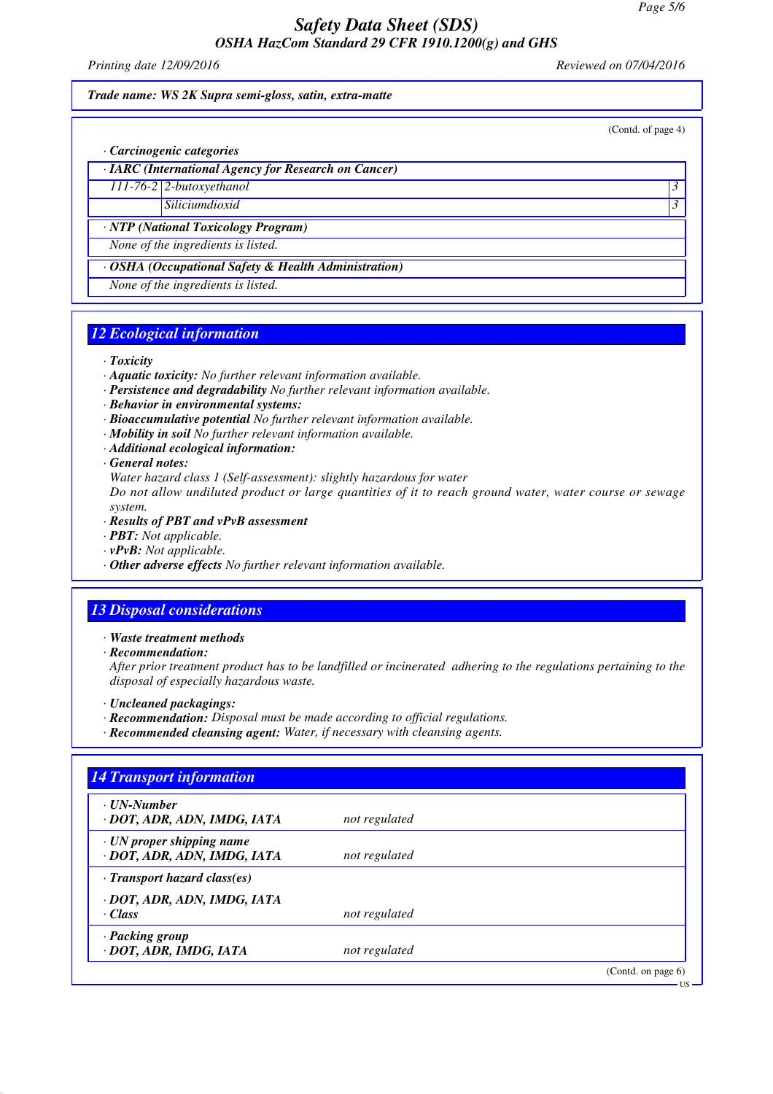*Printing date 12/09/2016 Reviewed on 07/04/2016*

(Contd. of page 4)

#### *Trade name: WS 2K Supra semi-gloss, satin, extra-matte*

*· Carcinogenic categories*

*· IARC (International Agency for Research on Cancer)*

*111-76-2 2-butoxyethanol 3* 

*Siliciumdioxid 3* 

*· NTP (National Toxicology Program)*

*None of the ingredients is listed.*

*· OSHA (Occupational Safety & Health Administration)*

*None of the ingredients is listed.*

# *12 Ecological information*

*· Toxicity*

- *· Aquatic toxicity: No further relevant information available.*
- *· Persistence and degradability No further relevant information available.*
- *· Behavior in environmental systems:*
- *· Bioaccumulative potential No further relevant information available.*
- *· Mobility in soil No further relevant information available.*
- *· Additional ecological information:*
- *· General notes:*

*Water hazard class 1 (Self-assessment): slightly hazardous for water*

*Do not allow undiluted product or large quantities of it to reach ground water, water course or sewage system.*

- *· Results of PBT and vPvB assessment*
- *· PBT: Not applicable.*
- *· vPvB: Not applicable.*
- *· Other adverse effects No further relevant information available.*

## *13 Disposal considerations*

*· Waste treatment methods*

*· Recommendation:*

*After prior treatment product has to be landfilled or incinerated adhering to the regulations pertaining to the disposal of especially hazardous waste.*

- *· Uncleaned packagings:*
- *· Recommendation: Disposal must be made according to official regulations.*
- *· Recommended cleansing agent: Water, if necessary with cleansing agents.*

| · UN-Number                        |               |  |
|------------------------------------|---------------|--|
| · DOT, ADR, ADN, IMDG, IATA        | not regulated |  |
| $\cdot$ UN proper shipping name    |               |  |
| · DOT, ADR, ADN, IMDG, IATA        | not regulated |  |
| $\cdot$ Transport hazard class(es) |               |  |
| · DOT, ADR, ADN, IMDG, IATA        |               |  |
| · Class                            | not regulated |  |
| · Packing group                    |               |  |
| · DOT, ADR, IMDG, IATA             | not regulated |  |